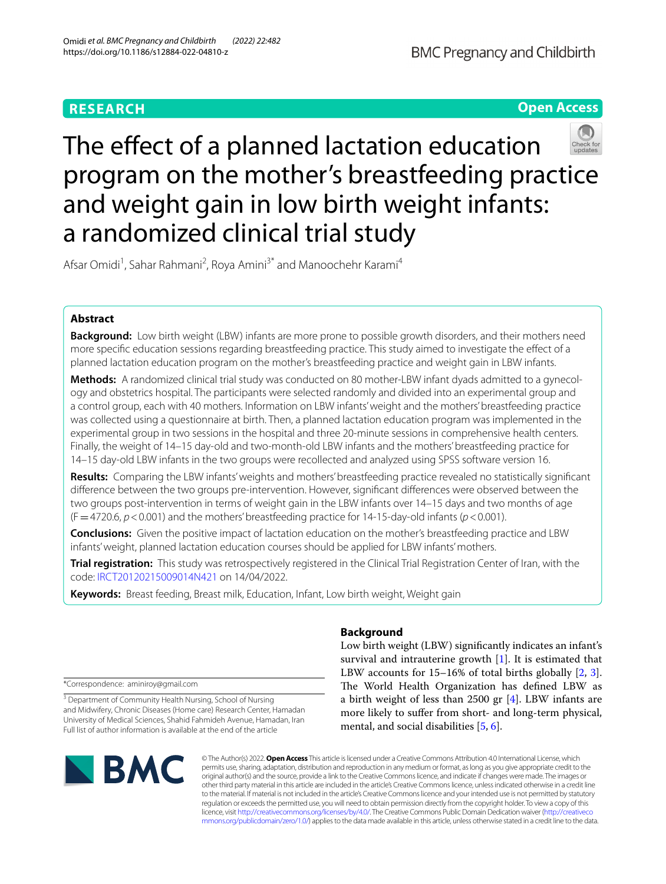# **RESEARCH**

**Open Access**

# The effect of a planned lactation education program on the mother's breastfeeding practice and weight gain in low birth weight infants: a randomized clinical trial study

Afsar Omidi<sup>1</sup>, Sahar Rahmani<sup>2</sup>, Roya Amini<sup>3\*</sup> and Manoochehr Karami<sup>4</sup>

# **Abstract**

**Background:** Low birth weight (LBW) infants are more prone to possible growth disorders, and their mothers need more specifc education sessions regarding breastfeeding practice. This study aimed to investigate the efect of a planned lactation education program on the mother's breastfeeding practice and weight gain in LBW infants.

**Methods:** A randomized clinical trial study was conducted on 80 mother-LBW infant dyads admitted to a gynecology and obstetrics hospital. The participants were selected randomly and divided into an experimental group and a control group, each with 40 mothers. Information on LBW infants' weight and the mothers' breastfeeding practice was collected using a questionnaire at birth. Then, a planned lactation education program was implemented in the experimental group in two sessions in the hospital and three 20-minute sessions in comprehensive health centers. Finally, the weight of 14–15 day-old and two-month-old LBW infants and the mothers' breastfeeding practice for 14–15 day-old LBW infants in the two groups were recollected and analyzed using SPSS software version 16.

**Results:** Comparing the LBW infants' weights and mothers' breastfeeding practice revealed no statistically signifcant diference between the two groups pre-intervention. However, signifcant diferences were observed between the two groups post-intervention in terms of weight gain in the LBW infants over 14–15 days and two months of age  $(F = 4720.6, p < 0.001)$  and the mothers' breastfeeding practice for 14-15-day-old infants ( $p < 0.001$ ).

**Conclusions:** Given the positive impact of lactation education on the mother's breastfeeding practice and LBW infants' weight, planned lactation education courses should be applied for LBW infants' mothers.

**Trial registration:** This study was retrospectively registered in the Clinical Trial Registration Center of Iran, with the code: [IRCT20120215009014N421](https://en.irct.ir/trial/62760) on 14/04/2022.

**Keywords:** Breast feeding, Breast milk, Education, Infant, Low birth weight, Weight gain

\*Correspondence: aminiroy@gmail.com

<sup>3</sup> Department of Community Health Nursing, School of Nursing and Midwifery, Chronic Diseases (Home care) Research Center, Hamadan University of Medical Sciences, Shahid Fahmideh Avenue, Hamadan, Iran Full list of author information is available at the end of the article

# **SMC**

# **Background**

Low birth weight (LBW) signifcantly indicates an infant's survival and intrauterine growth [\[1](#page-6-0)]. It is estimated that LBW accounts for 15–16% of total births globally [[2,](#page-6-1) [3](#page-6-2)]. The World Health Organization has defined LBW as a birth weight of less than 2500 gr [\[4](#page-6-3)]. LBW infants are more likely to sufer from short- and long-term physical, mental, and social disabilities [[5](#page-6-4), [6\]](#page-6-5).

© The Author(s) 2022. **Open Access** This article is licensed under a Creative Commons Attribution 4.0 International License, which permits use, sharing, adaptation, distribution and reproduction in any medium or format, as long as you give appropriate credit to the original author(s) and the source, provide a link to the Creative Commons licence, and indicate if changes were made. The images or other third party material in this article are included in the article's Creative Commons licence, unless indicated otherwise in a credit line to the material. If material is not included in the article's Creative Commons licence and your intended use is not permitted by statutory regulation or exceeds the permitted use, you will need to obtain permission directly from the copyright holder. To view a copy of this licence, visit [http://creativecommons.org/licenses/by/4.0/.](http://creativecommons.org/licenses/by/4.0/) The Creative Commons Public Domain Dedication waiver ([http://creativeco](http://creativecommons.org/publicdomain/zero/1.0/) [mmons.org/publicdomain/zero/1.0/](http://creativecommons.org/publicdomain/zero/1.0/)) applies to the data made available in this article, unless otherwise stated in a credit line to the data.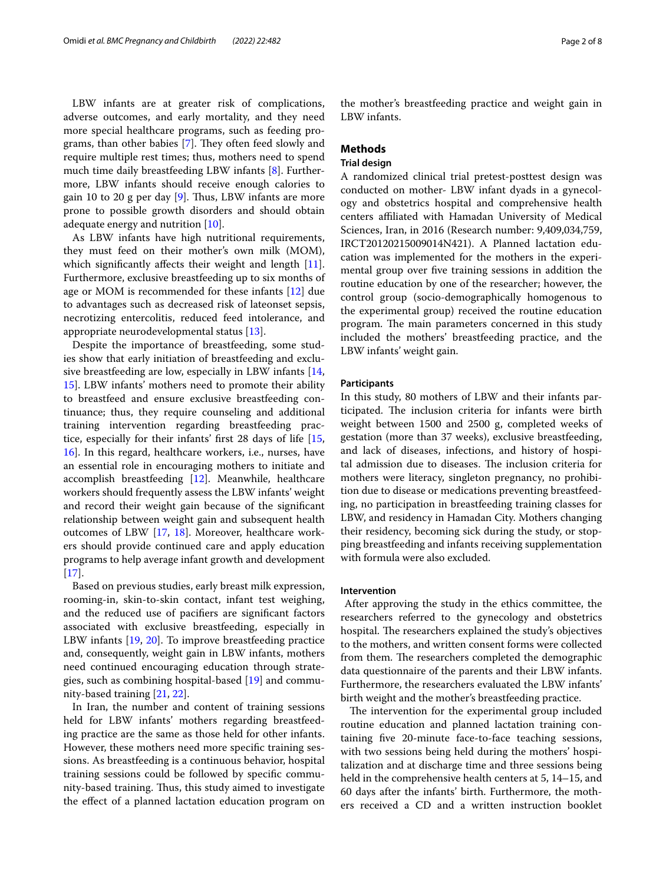LBW infants are at greater risk of complications, adverse outcomes, and early mortality, and they need more special healthcare programs, such as feeding programs, than other babies  $[7]$  $[7]$ . They often feed slowly and require multiple rest times; thus, mothers need to spend much time daily breastfeeding LBW infants [\[8](#page-6-7)]. Furthermore, LBW infants should receive enough calories to gain 10 to 20 g per day  $[9]$  $[9]$ . Thus, LBW infants are more prone to possible growth disorders and should obtain adequate energy and nutrition [[10](#page-6-9)].

As LBW infants have high nutritional requirements, they must feed on their mother's own milk (MOM), which significantly affects their weight and length [\[11](#page-6-10)]. Furthermore, exclusive breastfeeding up to six months of age or MOM is recommended for these infants [\[12](#page-6-11)] due to advantages such as decreased risk of lateonset sepsis, necrotizing entercolitis, reduced feed intolerance, and appropriate neurodevelopmental status [[13](#page-6-12)].

Despite the importance of breastfeeding, some studies show that early initiation of breastfeeding and exclusive breastfeeding are low, especially in LBW infants [\[14](#page-6-13), [15\]](#page-7-0). LBW infants' mothers need to promote their ability to breastfeed and ensure exclusive breastfeeding continuance; thus, they require counseling and additional training intervention regarding breastfeeding practice, especially for their infants' frst 28 days of life [\[15](#page-7-0), [16\]](#page-7-1). In this regard, healthcare workers, i.e., nurses, have an essential role in encouraging mothers to initiate and accomplish breastfeeding  $[12]$ . Meanwhile, healthcare workers should frequently assess the LBW infants' weight and record their weight gain because of the signifcant relationship between weight gain and subsequent health outcomes of LBW [\[17,](#page-7-2) [18\]](#page-7-3). Moreover, healthcare workers should provide continued care and apply education programs to help average infant growth and development [[17\]](#page-7-2).

Based on previous studies, early breast milk expression, rooming-in, skin-to-skin contact, infant test weighing, and the reduced use of pacifers are signifcant factors associated with exclusive breastfeeding, especially in LBW infants [[19](#page-7-4), [20](#page-7-5)]. To improve breastfeeding practice and, consequently, weight gain in LBW infants, mothers need continued encouraging education through strategies, such as combining hospital-based [\[19](#page-7-4)] and community-based training [[21,](#page-7-6) [22](#page-7-7)].

In Iran, the number and content of training sessions held for LBW infants' mothers regarding breastfeeding practice are the same as those held for other infants. However, these mothers need more specifc training sessions. As breastfeeding is a continuous behavior, hospital training sessions could be followed by specifc community-based training. Thus, this study aimed to investigate the efect of a planned lactation education program on the mother's breastfeeding practice and weight gain in LBW infants.

# **Methods**

# **Trial design**

A randomized clinical trial pretest-posttest design was conducted on mother- LBW infant dyads in a gynecology and obstetrics hospital and comprehensive health centers afliated with Hamadan University of Medical Sciences, Iran, in 2016 (Research number: 9,409,034,759, IRCT20120215009014N421). A Planned lactation education was implemented for the mothers in the experimental group over fve training sessions in addition the routine education by one of the researcher; however, the control group (socio-demographically homogenous to the experimental group) received the routine education program. The main parameters concerned in this study included the mothers' breastfeeding practice, and the LBW infants' weight gain.

#### **Participants**

In this study, 80 mothers of LBW and their infants participated. The inclusion criteria for infants were birth weight between 1500 and 2500 g, completed weeks of gestation (more than 37 weeks), exclusive breastfeeding, and lack of diseases, infections, and history of hospital admission due to diseases. The inclusion criteria for mothers were literacy, singleton pregnancy, no prohibition due to disease or medications preventing breastfeeding, no participation in breastfeeding training classes for LBW, and residency in Hamadan City. Mothers changing their residency, becoming sick during the study, or stopping breastfeeding and infants receiving supplementation with formula were also excluded.

#### **Intervention**

 After approving the study in the ethics committee, the researchers referred to the gynecology and obstetrics hospital. The researchers explained the study's objectives to the mothers, and written consent forms were collected from them. The researchers completed the demographic data questionnaire of the parents and their LBW infants. Furthermore, the researchers evaluated the LBW infants' birth weight and the mother's breastfeeding practice.

The intervention for the experimental group included routine education and planned lactation training containing fve 20-minute face-to-face teaching sessions, with two sessions being held during the mothers' hospitalization and at discharge time and three sessions being held in the comprehensive health centers at 5, 14–15, and 60 days after the infants' birth. Furthermore, the mothers received a CD and a written instruction booklet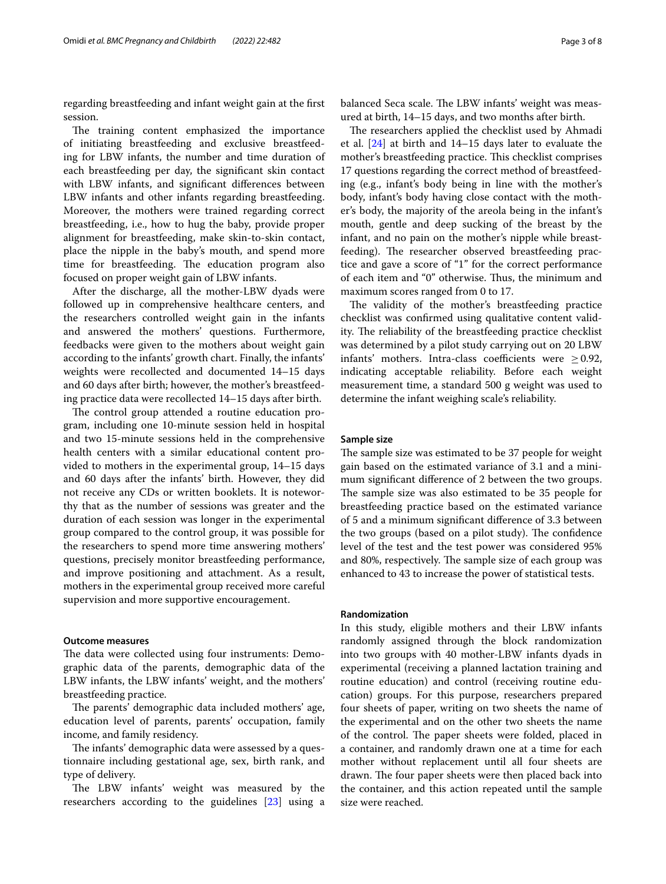regarding breastfeeding and infant weight gain at the frst session.

The training content emphasized the importance of initiating breastfeeding and exclusive breastfeeding for LBW infants, the number and time duration of each breastfeeding per day, the signifcant skin contact with LBW infants, and signifcant diferences between LBW infants and other infants regarding breastfeeding. Moreover, the mothers were trained regarding correct breastfeeding, i.e., how to hug the baby, provide proper alignment for breastfeeding, make skin-to-skin contact, place the nipple in the baby's mouth, and spend more time for breastfeeding. The education program also focused on proper weight gain of LBW infants.

After the discharge, all the mother-LBW dyads were followed up in comprehensive healthcare centers, and the researchers controlled weight gain in the infants and answered the mothers' questions. Furthermore, feedbacks were given to the mothers about weight gain according to the infants' growth chart. Finally, the infants' weights were recollected and documented 14–15 days and 60 days after birth; however, the mother's breastfeeding practice data were recollected 14–15 days after birth.

The control group attended a routine education program, including one 10-minute session held in hospital and two 15-minute sessions held in the comprehensive health centers with a similar educational content provided to mothers in the experimental group, 14–15 days and 60 days after the infants' birth. However, they did not receive any CDs or written booklets. It is noteworthy that as the number of sessions was greater and the duration of each session was longer in the experimental group compared to the control group, it was possible for the researchers to spend more time answering mothers' questions, precisely monitor breastfeeding performance, and improve positioning and attachment. As a result, mothers in the experimental group received more careful supervision and more supportive encouragement.

## **Outcome measures**

The data were collected using four instruments: Demographic data of the parents, demographic data of the LBW infants, the LBW infants' weight, and the mothers' breastfeeding practice.

The parents' demographic data included mothers' age, education level of parents, parents' occupation, family income, and family residency.

The infants' demographic data were assessed by a questionnaire including gestational age, sex, birth rank, and type of delivery.

The LBW infants' weight was measured by the researchers according to the guidelines [\[23\]](#page-7-8) using a balanced Seca scale. The LBW infants' weight was measured at birth, 14–15 days, and two months after birth.

The researchers applied the checklist used by Ahmadi et al. [\[24](#page-7-9)] at birth and 14–15 days later to evaluate the mother's breastfeeding practice. This checklist comprises 17 questions regarding the correct method of breastfeeding (e.g., infant's body being in line with the mother's body, infant's body having close contact with the mother's body, the majority of the areola being in the infant's mouth, gentle and deep sucking of the breast by the infant, and no pain on the mother's nipple while breastfeeding). The researcher observed breastfeeding practice and gave a score of "1" for the correct performance of each item and "0" otherwise. Thus, the minimum and maximum scores ranged from 0 to 17.

The validity of the mother's breastfeeding practice checklist was confrmed using qualitative content validity. The reliability of the breastfeeding practice checklist was determined by a pilot study carrying out on 20 LBW infants' mothers. Intra-class coefficients were  $\geq$  0.92, indicating acceptable reliability. Before each weight measurement time, a standard 500 g weight was used to determine the infant weighing scale's reliability.

#### **Sample size**

The sample size was estimated to be 37 people for weight gain based on the estimated variance of 3.1 and a minimum signifcant diference of 2 between the two groups. The sample size was also estimated to be 35 people for breastfeeding practice based on the estimated variance of 5 and a minimum signifcant diference of 3.3 between the two groups (based on a pilot study). The confidence level of the test and the test power was considered 95% and 80%, respectively. The sample size of each group was enhanced to 43 to increase the power of statistical tests.

#### **Randomization**

In this study, eligible mothers and their LBW infants randomly assigned through the block randomization into two groups with 40 mother-LBW infants dyads in experimental (receiving a planned lactation training and routine education) and control (receiving routine education) groups. For this purpose, researchers prepared four sheets of paper, writing on two sheets the name of the experimental and on the other two sheets the name of the control. The paper sheets were folded, placed in a container, and randomly drawn one at a time for each mother without replacement until all four sheets are drawn. The four paper sheets were then placed back into the container, and this action repeated until the sample size were reached.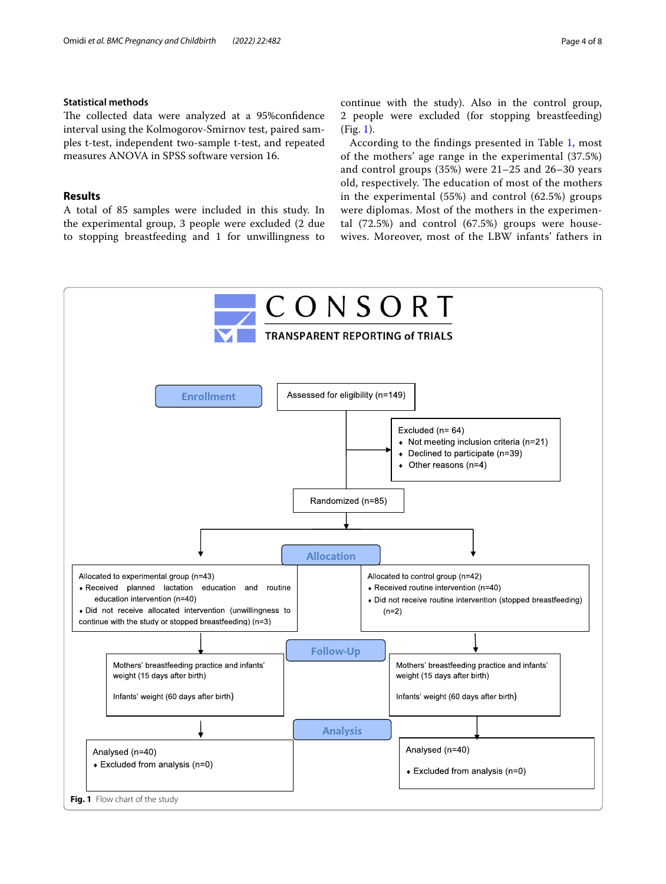#### **Statistical methods**

The collected data were analyzed at a 95%confidence interval using the Kolmogorov-Smirnov test, paired samples t-test, independent two-sample t-test, and repeated measures ANOVA in SPSS software version 16.

### **Results**

A total of 85 samples were included in this study. In the experimental group, 3 people were excluded (2 due to stopping breastfeeding and 1 for unwillingness to continue with the study). Also in the control group, 2 people were excluded (for stopping breastfeeding) (Fig. [1\)](#page-3-0).

According to the fndings presented in Table [1](#page-4-0), most of the mothers' age range in the experimental (37.5%) and control groups (35%) were 21–25 and 26–30 years old, respectively. The education of most of the mothers in the experimental (55%) and control (62.5%) groups were diplomas. Most of the mothers in the experimental (72.5%) and control (67.5%) groups were housewives. Moreover, most of the LBW infants' fathers in

<span id="page-3-0"></span>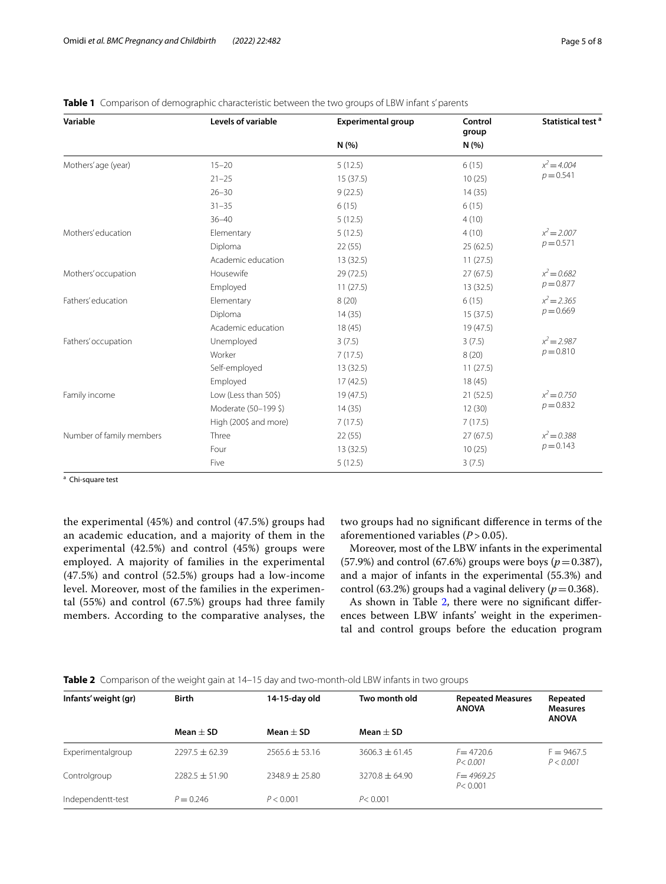| Variable                 | Levels of variable    | <b>Experimental group</b> | Control<br>group | Statistical test <sup>a</sup> |  |
|--------------------------|-----------------------|---------------------------|------------------|-------------------------------|--|
|                          |                       | N(% )                     | N(%              |                               |  |
| Mothers' age (year)      | $15 - 20$             | 5(12.5)                   | 6(15)            | $x^2 = 4.004$                 |  |
|                          | $21 - 25$             | 15(37.5)                  | 10(25)           | $p = 0.541$                   |  |
|                          | $26 - 30$             | 9(22.5)                   | 14(35)           |                               |  |
|                          | $31 - 35$             | 6(15)                     | 6(15)            |                               |  |
|                          | $36 - 40$             | 5(12.5)                   | 4(10)            |                               |  |
| Mothers' education       | Elementary            | 5(12.5)                   | 4(10)            | $x^2 = 2.007$                 |  |
|                          | Diploma               | 22(55)                    | 25(62.5)         | $p = 0.571$                   |  |
|                          | Academic education    | 13(32.5)                  | 11(27.5)         |                               |  |
| Mothers' occupation      | Housewife             | 29 (72.5)                 | 27(67.5)         | $x^2 = 0.682$<br>$p = 0.877$  |  |
|                          | Employed              | 11(27.5)                  | 13(32.5)         |                               |  |
| Fathers' education       | Elementary            | 8(20)                     | 6(15)            | $x^2 = 2.365$                 |  |
|                          | Diploma               | 14(35)                    | 15(37.5)         | $p = 0.669$                   |  |
|                          | Academic education    | 18(45)                    | 19(47.5)         |                               |  |
| Fathers' occupation      | Unemployed            | 3(7.5)                    | 3(7.5)           | $x^2 = 2.987$                 |  |
|                          | Worker                | 7(17.5)                   | 8(20)            | $p = 0.810$                   |  |
|                          | Self-employed         | 13(32.5)                  | 11(27.5)         |                               |  |
|                          | Employed              | 17(42.5)                  | 18(45)           |                               |  |
| Family income            | Low (Less than 50\$)  | 19 (47.5)                 | 21(52.5)         | $x^2 = 0.750$<br>$p = 0.832$  |  |
|                          | Moderate (50-199 \$)  | 14(35)                    | 12(30)           |                               |  |
|                          | High (200\$ and more) | 7(17.5)                   | 7(17.5)          |                               |  |
| Number of family members | Three                 | 22(55)                    | 27(67.5)         | $x^2 = 0.388$                 |  |
|                          | Four                  | 13 (32.5)                 | 10(25)           | $p = 0.143$                   |  |
|                          | Five                  | 5(12.5)                   | 3(7.5)           |                               |  |

<span id="page-4-0"></span>

<sup>a</sup> Chi-square test

the experimental (45%) and control (47.5%) groups had an academic education, and a majority of them in the experimental (42.5%) and control (45%) groups were employed. A majority of families in the experimental (47.5%) and control (52.5%) groups had a low-income level. Moreover, most of the families in the experimental (55%) and control (67.5%) groups had three family members. According to the comparative analyses, the

two groups had no signifcant diference in terms of the aforementioned variables (*P* > 0.05).

Moreover, most of the LBW infants in the experimental (57.9%) and control (67.6%) groups were boys ( $p = 0.387$ ), and a major of infants in the experimental (55.3%) and control (63.2%) groups had a vaginal delivery ( $p=0.368$ ).

As shown in Table [2,](#page-4-1) there were no significant differences between LBW infants' weight in the experimental and control groups before the education program

<span id="page-4-1"></span>

|  |  |  |  | Table 2 Comparison of the weight gain at 14–15 day and two-month-old LBW infants in two groups |
|--|--|--|--|------------------------------------------------------------------------------------------------|
|--|--|--|--|------------------------------------------------------------------------------------------------|

| Infants' weight (gr) | <b>Birth</b>       | 14-15-day old    | Two month old    | <b>Repeated Measures</b><br><b>ANOVA</b> | Repeated<br><b>Measures</b><br><b>ANOVA</b> |
|----------------------|--------------------|------------------|------------------|------------------------------------------|---------------------------------------------|
|                      | Mean $\pm$ SD      | Mean $\pm$ SD    | Mean $\pm$ SD    |                                          |                                             |
| Experimentalgroup    | $2297.5 \pm 62.39$ | $2565.6 + 53.16$ | $3606.3 + 61.45$ | $F = 4720.6$<br>P < 0.001                | $F = 9467.5$<br>P < 0.001                   |
| Controlgroup         | $7787.5 + 51.90$   | $7348.9 + 75.80$ | $3270.8 + 64.90$ | $F = 4969.25$<br>P < 0.001               |                                             |
| Independentt-test    | $P = 0.246$        | P < 0.001        | P < 0.001        |                                          |                                             |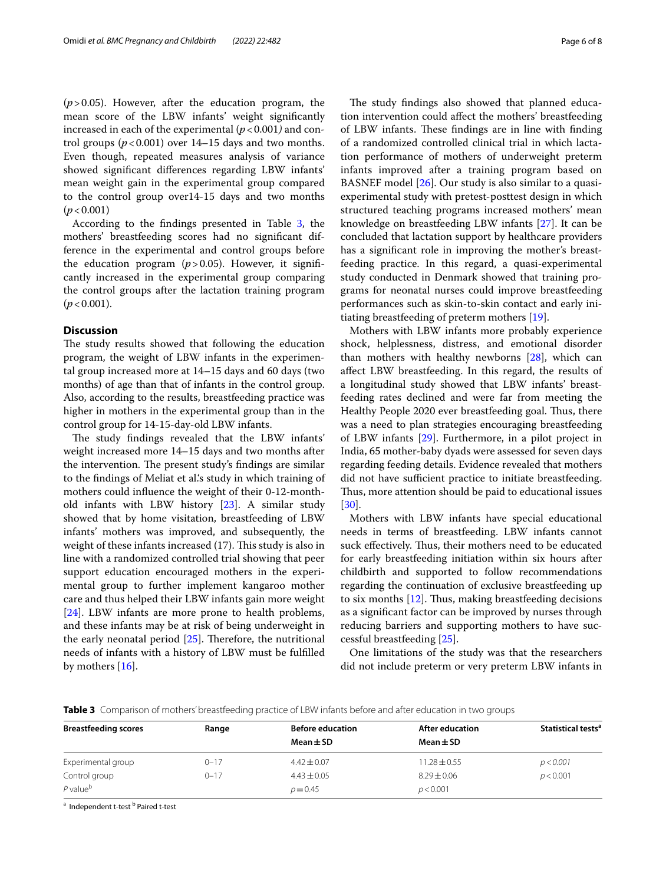(*p*>0.05). However, after the education program, the mean score of the LBW infants' weight signifcantly increased in each of the experimental  $(p < 0.001)$  and control groups  $(p<0.001)$  over 14–15 days and two months. Even though, repeated measures analysis of variance showed signifcant diferences regarding LBW infants' mean weight gain in the experimental group compared to the control group over14-15 days and two months (*p*<0.001)

According to the fndings presented in Table [3](#page-5-0), the mothers' breastfeeding scores had no signifcant difference in the experimental and control groups before the education program (*p*>0.05). However, it signifcantly increased in the experimental group comparing the control groups after the lactation training program  $(p < 0.001)$ .

#### **Discussion**

The study results showed that following the education program, the weight of LBW infants in the experimental group increased more at 14–15 days and 60 days (two months) of age than that of infants in the control group. Also, according to the results, breastfeeding practice was higher in mothers in the experimental group than in the control group for 14-15-day-old LBW infants.

The study findings revealed that the LBW infants' weight increased more 14–15 days and two months after the intervention. The present study's findings are similar to the fndings of Meliat et al.'s study in which training of mothers could infuence the weight of their 0-12-monthold infants with LBW history [[23\]](#page-7-8). A similar study showed that by home visitation, breastfeeding of LBW infants' mothers was improved, and subsequently, the weight of these infants increased  $(17)$ . This study is also in line with a randomized controlled trial showing that peer support education encouraged mothers in the experimental group to further implement kangaroo mother care and thus helped their LBW infants gain more weight [[24\]](#page-7-9). LBW infants are more prone to health problems, and these infants may be at risk of being underweight in the early neonatal period  $[25]$  $[25]$ . Therefore, the nutritional needs of infants with a history of LBW must be fulflled by mothers [\[16\]](#page-7-1).

The study findings also showed that planned education intervention could afect the mothers' breastfeeding of LBW infants. These findings are in line with finding of a randomized controlled clinical trial in which lactation performance of mothers of underweight preterm infants improved after a training program based on BASNEF model [\[26](#page-7-11)]. Our study is also similar to a quasiexperimental study with pretest-posttest design in which structured teaching programs increased mothers' mean knowledge on breastfeeding LBW infants [\[27](#page-7-12)]. It can be concluded that lactation support by healthcare providers has a signifcant role in improving the mother's breastfeeding practice. In this regard, a quasi-experimental study conducted in Denmark showed that training programs for neonatal nurses could improve breastfeeding performances such as skin-to-skin contact and early initiating breastfeeding of preterm mothers [\[19](#page-7-4)].

Mothers with LBW infants more probably experience shock, helplessness, distress, and emotional disorder than mothers with healthy newborns [\[28\]](#page-7-13), which can afect LBW breastfeeding. In this regard, the results of a longitudinal study showed that LBW infants' breastfeeding rates declined and were far from meeting the Healthy People 2020 ever breastfeeding goal. Thus, there was a need to plan strategies encouraging breastfeeding of LBW infants [\[29\]](#page-7-14). Furthermore, in a pilot project in India, 65 mother-baby dyads were assessed for seven days regarding feeding details. Evidence revealed that mothers did not have sufficient practice to initiate breastfeeding. Thus, more attention should be paid to educational issues [[30\]](#page-7-15).

Mothers with LBW infants have special educational needs in terms of breastfeeding. LBW infants cannot suck effectively. Thus, their mothers need to be educated for early breastfeeding initiation within six hours after childbirth and supported to follow recommendations regarding the continuation of exclusive breastfeeding up to six months  $[12]$  $[12]$ . Thus, making breastfeeding decisions as a signifcant factor can be improved by nurses through reducing barriers and supporting mothers to have successful breastfeeding [\[25\]](#page-7-10).

One limitations of the study was that the researchers did not include preterm or very preterm LBW infants in

<span id="page-5-0"></span>**Table 3** Comparison of mothers' breastfeeding practice of LBW infants before and after education in two groups

| <b>Breastfeeding scores</b> | Range    | <b>Before education</b> | After education  | Statistical tests <sup>a</sup> |
|-----------------------------|----------|-------------------------|------------------|--------------------------------|
|                             |          | Mean $\pm$ SD           | Mean $\pm$ SD    |                                |
| Experimental group          | $0 - 17$ | $4.42 \pm 0.07$         | $11.28 \pm 0.55$ | p < 0.001                      |
| Control group               | $0 - 17$ | $4.43 \pm 0.05$         | $8.29 \pm 0.06$  | p < 0.001                      |
| $P$ value <sup>b</sup>      |          | $p = 0.45$              | p < 0.001        |                                |

<sup>a</sup> Independent t-test <sup>b</sup> Paired t-test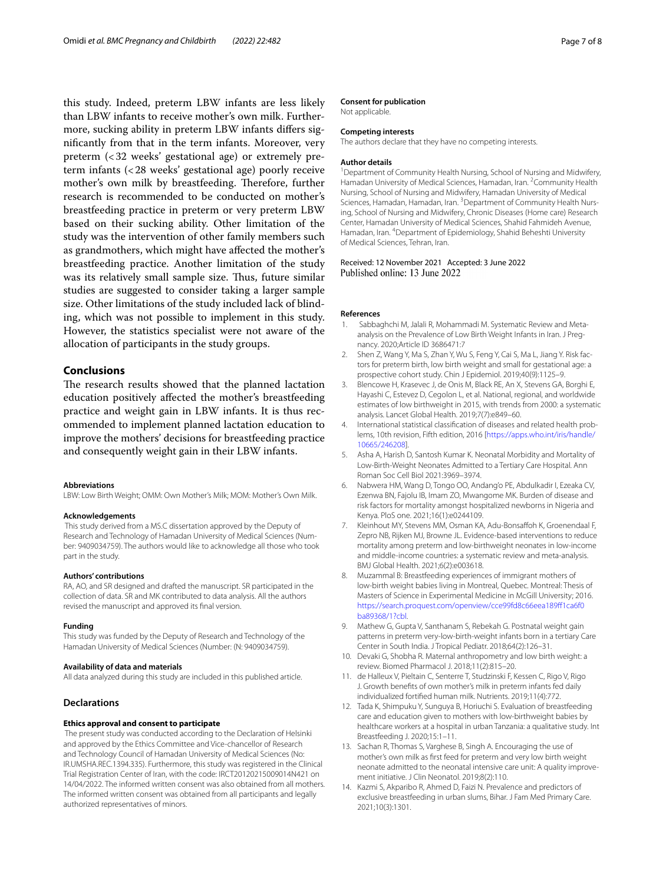this study. Indeed, preterm LBW infants are less likely than LBW infants to receive mother's own milk. Furthermore, sucking ability in preterm LBW infants difers signifcantly from that in the term infants. Moreover, very preterm (<32 weeks' gestational age) or extremely preterm infants (<28 weeks' gestational age) poorly receive mother's own milk by breastfeeding. Therefore, further research is recommended to be conducted on mother's breastfeeding practice in preterm or very preterm LBW based on their sucking ability. Other limitation of the study was the intervention of other family members such as grandmothers, which might have afected the mother's breastfeeding practice. Another limitation of the study was its relatively small sample size. Thus, future similar studies are suggested to consider taking a larger sample size. Other limitations of the study included lack of blinding, which was not possible to implement in this study. However, the statistics specialist were not aware of the allocation of participants in the study groups.

#### **Conclusions**

The research results showed that the planned lactation education positively afected the mother's breastfeeding practice and weight gain in LBW infants. It is thus recommended to implement planned lactation education to improve the mothers' decisions for breastfeeding practice and consequently weight gain in their LBW infants.

#### **Abbreviations**

LBW: Low Birth Weight; OMM: Own Mother's Milk; MOM: Mother's Own Milk.

#### **Acknowledgements**

 This study derived from a MS.C dissertation approved by the Deputy of Research and Technology of Hamadan University of Medical Sciences (Number: 9409034759). The authors would like to acknowledge all those who took part in the study.

#### **Authors' contributions**

RA, AO, and SR designed and drafted the manuscript. SR participated in the collection of data. SR and MK contributed to data analysis. All the authors revised the manuscript and approved its fnal version.

#### **Funding**

This study was funded by the Deputy of Research and Technology of the Hamadan University of Medical Sciences (Number: (N: 9409034759).

#### **Availability of data and materials**

All data analyzed during this study are included in this published article.

#### **Declarations**

#### **Ethics approval and consent to participate**

 The present study was conducted according to the Declaration of Helsinki and approved by the Ethics Committee and Vice-chancellor of Research and Technology Council of Hamadan University of Medical Sciences (No: IR.UMSHA.REC.1394.335). Furthermore, this study was registered in the Clinical Trial Registration Center of Iran, with the code: IRCT20120215009014N421 on 14/04/2022. The informed written consent was also obtained from all mothers. The informed written consent was obtained from all participants and legally authorized representatives of minors.

#### **Consent for publication**

Not applicable.

#### **Competing interests**

The authors declare that they have no competing interests.

#### **Author details**

<sup>1</sup> Department of Community Health Nursing, School of Nursing and Midwifery, Hamadan University of Medical Sciences, Hamadan, Iran. <sup>2</sup> Community Health Nursing, School of Nursing and Midwifery, Hamadan University of Medical Sciences, Hamadan, Hamadan, Iran. <sup>3</sup> Department of Community Health Nursing, School of Nursing and Midwifery, Chronic Diseases (Home care) Research Center, Hamadan University of Medical Sciences, Shahid Fahmideh Avenue, Hamadan, Iran. <sup>4</sup> Department of Epidemiology, Shahid Beheshti University of Medical Sciences, Tehran, Iran.

Received: 12 November 2021 Accepted: 3 June 2022 Published online: 13 June 2022

#### **References**

- <span id="page-6-0"></span>1. Sabbaghchi M, Jalali R, Mohammadi M. Systematic Review and Metaanalysis on the Prevalence of Low Birth Weight Infants in Iran. J Pregnancy. 2020;Article ID 3686471:7
- <span id="page-6-1"></span>2. Shen Z, Wang Y, Ma S, Zhan Y, Wu S, Feng Y, Cai S, Ma L, Jiang Y. Risk factors for preterm birth, low birth weight and small for gestational age: a prospective cohort study. Chin J Epidemiol. 2019;40(9):1125–9.
- <span id="page-6-2"></span>3. Blencowe H, Krasevec J, de Onis M, Black RE, An X, Stevens GA, Borghi E, Hayashi C, Estevez D, Cegolon L, et al. National, regional, and worldwide estimates of low birthweight in 2015, with trends from 2000: a systematic analysis. Lancet Global Health. 2019;7(7):e849–60.
- <span id="page-6-3"></span>4. International statistical classifcation of diseases and related health problems, 10th revision, Fifth edition, 2016 [\[https://apps.who.int/iris/handle/](https://apps.who.int/iris/handle/10665/246208) [10665/246208\]](https://apps.who.int/iris/handle/10665/246208).
- <span id="page-6-4"></span>5. Asha A, Harish D, Santosh Kumar K. Neonatal Morbidity and Mortality of Low-Birth-Weight Neonates Admitted to a Tertiary Care Hospital. Ann Roman Soc Cell Biol 2021:3969–3974.
- <span id="page-6-5"></span>6. Nabwera HM, Wang D, Tongo OO, Andang'o PE, Abdulkadir I, Ezeaka CV, Ezenwa BN, Fajolu IB, Imam ZO, Mwangome MK. Burden of disease and risk factors for mortality amongst hospitalized newborns in Nigeria and Kenya. PloS one. 2021;16(1):e0244109.
- <span id="page-6-6"></span>7. Kleinhout MY, Stevens MM, Osman KA, Adu-Bonsafoh K, Groenendaal F, Zepro NB, Rijken MJ, Browne JL. Evidence-based interventions to reduce mortality among preterm and low-birthweight neonates in low-income and middle-income countries: a systematic review and meta-analysis. BMJ Global Health. 2021;6(2):e003618.
- <span id="page-6-7"></span>8. Muzammal B: Breastfeeding experiences of immigrant mothers of low-birth weight babies living in Montreal, Quebec. Montreal: Thesis of Masters of Science in Experimental Medicine in McGill University; 2016. [https://search.proquest.com/openview/cce99fd8c66eea189f1ca6f0](https://search.proquest.com/openview/cce99fd8c66eea189ff1ca6f0ba89368/1?cbl) [ba89368/1?cbl.](https://search.proquest.com/openview/cce99fd8c66eea189ff1ca6f0ba89368/1?cbl)
- <span id="page-6-8"></span>9. Mathew G, Gupta V, Santhanam S, Rebekah G. Postnatal weight gain patterns in preterm very-low-birth-weight infants born in a tertiary Care Center in South India. J Tropical Pediatr. 2018;64(2):126–31.
- <span id="page-6-9"></span>10. Devaki G, Shobha R. Maternal anthropometry and low birth weight: a review. Biomed Pharmacol J. 2018;11(2):815–20.
- <span id="page-6-10"></span>11. de Halleux V, Pieltain C, Senterre T, Studzinski F, Kessen C, Rigo V, Rigo J. Growth benefts of own mother's milk in preterm infants fed daily individualized fortifed human milk. Nutrients. 2019;11(4):772.
- <span id="page-6-11"></span>12. Tada K, Shimpuku Y, Sunguya B, Horiuchi S. Evaluation of breastfeeding care and education given to mothers with low-birthweight babies by healthcare workers at a hospital in urban Tanzania: a qualitative study. Int Breastfeeding J. 2020;15:1–11.
- <span id="page-6-12"></span>13. Sachan R, Thomas S, Varghese B, Singh A. Encouraging the use of mother's own milk as frst feed for preterm and very low birth weight neonate admitted to the neonatal intensive care unit: A quality improvement initiative. J Clin Neonatol. 2019;8(2):110.
- <span id="page-6-13"></span>14. Kazmi S, Akparibo R, Ahmed D, Faizi N. Prevalence and predictors of exclusive breastfeeding in urban slums, Bihar. J Fam Med Primary Care. 2021;10(3):1301.